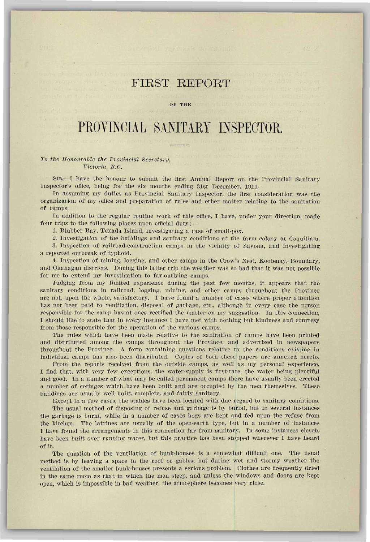## FIRST REPORT

## OF THE

## PROVINCIAL SANITARY INSPECTOR

## *To the Honourable the Provincial Secretary, Victoria, B.C.*

SIR,—I have the honour to submit the first Annual Report on the Provincial Sanitary Inspector's office, being for the six months ending Slst December, 1911.

In assuming my duties as Provincial Sanitary Inspector, the first consideration was the organization of my office and preparation of rules and other matter relating to the sanitation of camps.

In addition to the regular routine work of this office, I have, under your direction, made four trips to the following places upon official duty:-

1. Blubber Bay, Texada Island, investigating a case of small-pox.

2. Investigation of the buildings and sanitary conditions at the farm colony at Coquitlam.

3. Inspection of railroad-construction camps in the vicinity of Savona, and investigating a reported outbreak of typhoid.

4. Inspection of mining, logging, and other camps in the Crow's Nest, Kootenay, Boundary, and Okanagan districts. During this latter trip the weather was so bad that it was not possible for me to extend my investigation to far-outlying camps.

Judging from my limited experience during the past few months, it appears that the sanitary conditions in railroad, logging, mining, and other camps throughout the Province are not, upon the whole, satisfactory. I have found a number of cases where proper attention has not been paid to ventilation, disposal of garbage, etc., although in every case the person responsible for the camp has at once rectified the matter on my suggestion. In this connection, I should like to state that in every instance I have met with nothing but kindness and courtesy from those responsible for the operation of the various camps.

The rules which have been made relative to the sanitation of camps have been printed and distributed among the camps throughout the Province, and advertised in newspapers throughout the Province. A form containing questions relative to the conditions existing in individual camps has also been distributed. Copies of both these papers are annexed hereto.

From the reports received from the outside camps, as well as my personal experience, I find that, with very few exceptions, the water-supply is first-rate, the water being plentiful and good. In a number of what may be called permanent camps there have usually been erected a number of cottages which have been built and are occupied by the men themselves. These buildings are usually well built, complete, and fairly sanitary.

Except in a few cases, the stables have been located with due regard to sanitary conditions.

The usual method of disposing of refuse and garbage is by burial, but in several instances the garbage is burnt, while in a number of cases hogs are kept and fed upon the refuse from the kitchen. The latrines are usually of the open-earth type, but in a number of instances I have found the arrangements in this connection far from sanitary. In some instances closets have been built over running water, but this practice has been stopped wherever I have heard of it.

The question of the ventilation of bunk-houses is a somewhat difficult one. The usual method is by leaving a space in the roof or gables, but during wet and stormy weather the ventilation of the smaller bunk-houses presents a serious problem. Clothes are frequently dried in the same room as that in which the men sleep, and unless the windows and doors are kept open, which is impossible in bad weather, the atmosphere becomes very close.